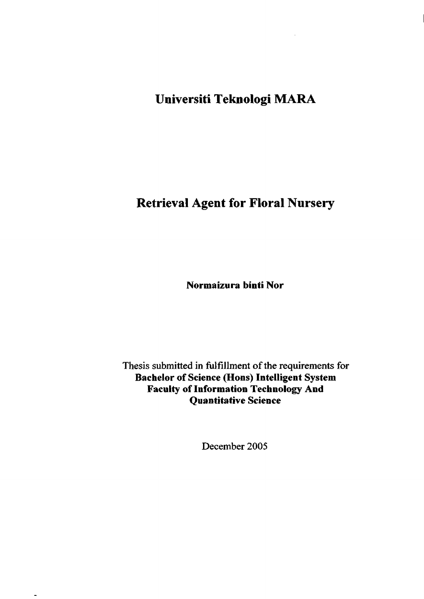**Universiti Teknologi MARA** 

# **Retrieval Agent for Floral Nursery**

**Normaizura hinti Nor** 

Thesis submitted in fulfillment of the requirements for **Bachelor of Science (Hons) Intelligent System Faculty of Information Technology And Quantitative Science** 

December 2005

 $\overline{\phantom{0}}$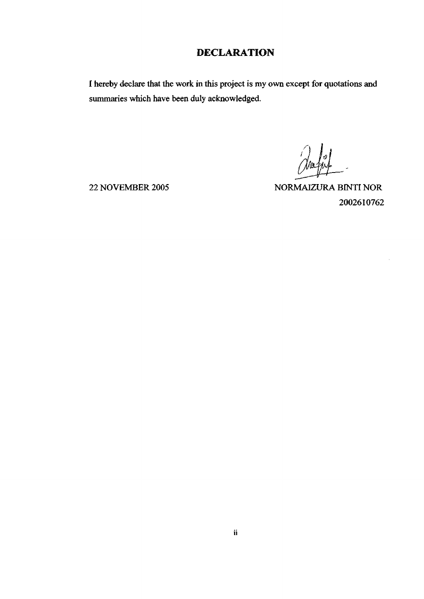## **DECLARATION**

I hereby declare that the work in this project is my own except for quotations and summaries which have been duly acknowledged.

22 NOVEMBER 2005 NORMAIZURA BINTI NOR 2002610762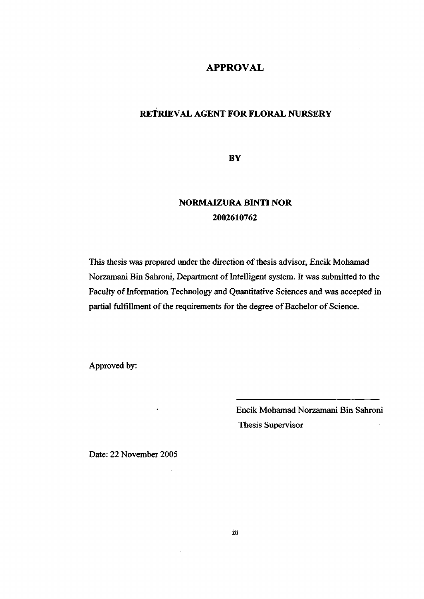#### **APPROVAL**

### RETRIEVAL AGENT FOR FLORAL NURSERY

**BY** 

# **NORMAIZURA BINTI NOR 2002610762**

This thesis was prepared under the direction of thesis advisor, Encik Mohamad Norzamani Bin Sahroni, Department of Intelligent system. It was submitted to the Faculty of Information Technology and Quantitative Sciences and was accepted in partial fulfillment of the requirements for the degree of Bachelor of Science.

Approved by:

Encik Mohamad Norzamani Bin Sahroni Thesis Supervisor

Date: 22 November 2005

 $\ddot{\phantom{0}}$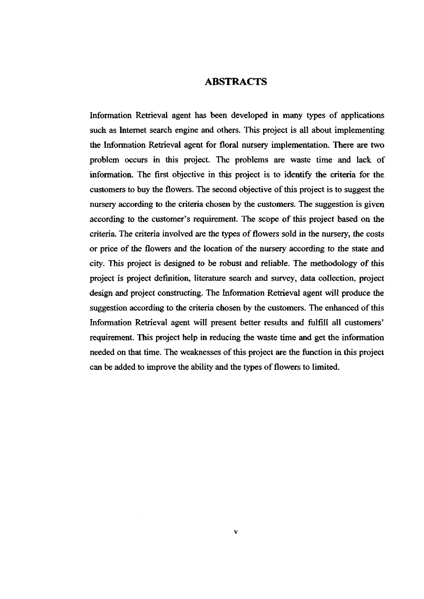#### ABSTRACTS

Information Retrieval agent has been developed in many types of applications such as Internet search engine and others. This project is all about implementing the Information Retrieval agent for floral nursery implementation. There are two problem occurs in this project. The problems are waste time and lack of information. The first objective in this project is to identify the criteria for the customers to buy the flowers. The second objective of this project is to suggest the nursery according to the criteria chosen by the customers. The suggestion is given according to the customer's requirement. The scope of this project based on the criteria. The criteria involved are the types of flowers sold in the nursery, the costs or price of the flowers and the location of the nursery according to the state and city. This project is designed to be robust and reliable. The methodology of this project is project definition, literature search and survey, data collection, project design and project constructing. The Information Retrieval agent will produce the suggestion according to *the* criteria chosen by the customers. The enhanced of this Information Retrieval agent will present better results and fulfill all customers' requirement. This project help in reducing the waste time and get the information needed on that time. The weaknesses of this project are the function in this project can be added to improve the ability and the types of flowers to limited.